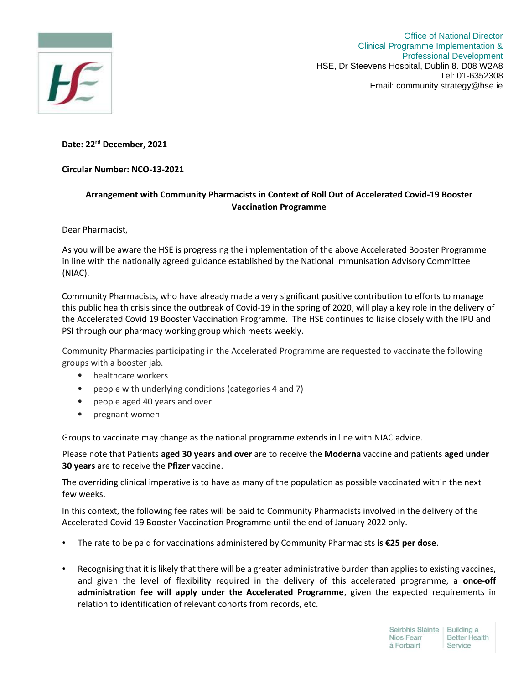

Office of National Director Clinical Programme Implementation & Professional Development HSE, Dr Steevens Hospital, Dublin 8. D08 W2A8 Tel: 01-6352308 Email: community.strategy@hse.ie

## **Date: 22rd December, 2021**

## **Circular Number: NCO-13-2021**

## **Arrangement with Community Pharmacists in Context of Roll Out of Accelerated Covid-19 Booster Vaccination Programme**

Dear Pharmacist,

As you will be aware the HSE is progressing the implementation of the above Accelerated Booster Programme in line with the nationally agreed guidance established by the National Immunisation Advisory Committee (NIAC).

Community Pharmacists, who have already made a very significant positive contribution to efforts to manage this public health crisis since the outbreak of Covid-19 in the spring of 2020, will play a key role in the delivery of the Accelerated Covid 19 Booster Vaccination Programme. The HSE continues to liaise closely with the IPU and PSI through our pharmacy working group which meets weekly.

Community Pharmacies participating in the Accelerated Programme are requested to vaccinate the following groups with a booster jab.

- healthcare workers
- people with underlying conditions (categories 4 and 7)
- people aged 40 years and over
- pregnant women

Groups to vaccinate may change as the national programme extends in line with NIAC advice.

Please note that Patients **aged 30 years and over** are to receive the **Moderna** vaccine and patients **aged under 30 years** are to receive the **Pfizer** vaccine.

The overriding clinical imperative is to have as many of the population as possible vaccinated within the next few weeks.

In this context, the following fee rates will be paid to Community Pharmacists involved in the delivery of the Accelerated Covid-19 Booster Vaccination Programme until the end of January 2022 only.

- The rate to be paid for vaccinations administered by Community Pharmacists **is €25 per dose**.
- Recognising that it is likely that there will be a greater administrative burden than applies to existing vaccines, and given the level of flexibility required in the delivery of this accelerated programme, a **once-off administration fee will apply under the Accelerated Programme**, given the expected requirements in relation to identification of relevant cohorts from records, etc.